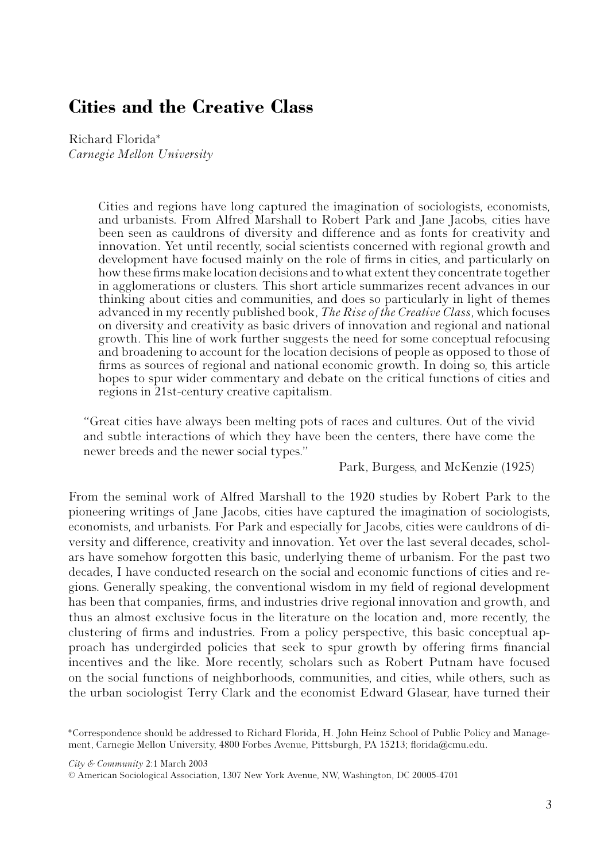# **Cities and the Creative Class**

Richard Florida<sup>∗</sup> *Carnegie Mellon University*

> Cities and regions have long captured the imagination of sociologists, economists, and urbanists. From Alfred Marshall to Robert Park and Jane Jacobs, cities have been seen as cauldrons of diversity and difference and as fonts for creativity and innovation. Yet until recently, social scientists concerned with regional growth and development have focused mainly on the role of firms in cities, and particularly on how these firms make location decisions and to what extent they concentrate together in agglomerations or clusters. This short article summarizes recent advances in our thinking about cities and communities, and does so particularly in light of themes advanced in my recently published book, *The Rise of the Creative Class*, which focuses on diversity and creativity as basic drivers of innovation and regional and national growth. This line of work further suggests the need for some conceptual refocusing and broadening to account for the location decisions of people as opposed to those of firms as sources of regional and national economic growth. In doing so, this article hopes to spur wider commentary and debate on the critical functions of cities and regions in 21st-century creative capitalism.

"Great cities have always been melting pots of races and cultures. Out of the vivid and subtle interactions of which they have been the centers, there have come the newer breeds and the newer social types."

Park, Burgess, and McKenzie (1925)

From the seminal work of Alfred Marshall to the 1920 studies by Robert Park to the pioneering writings of Jane Jacobs, cities have captured the imagination of sociologists, economists, and urbanists. For Park and especially for Jacobs, cities were cauldrons of diversity and difference, creativity and innovation. Yet over the last several decades, scholars have somehow forgotten this basic, underlying theme of urbanism. For the past two decades, I have conducted research on the social and economic functions of cities and regions. Generally speaking, the conventional wisdom in my field of regional development has been that companies, firms, and industries drive regional innovation and growth, and thus an almost exclusive focus in the literature on the location and, more recently, the clustering of firms and industries. From a policy perspective, this basic conceptual approach has undergirded policies that seek to spur growth by offering firms financial incentives and the like. More recently, scholars such as Robert Putnam have focused on the social functions of neighborhoods, communities, and cities, while others, such as the urban sociologist Terry Clark and the economist Edward Glasear, have turned their

<sup>∗</sup>Correspondence should be addressed to Richard Florida, H. John Heinz School of Public Policy and Management, Carnegie Mellon University, 4800 Forbes Avenue, Pittsburgh, PA 15213; florida@cmu.edu.

*City & Community* 2:1 March 2003

<sup>C</sup> American Sociological Association, 1307 New York Avenue, NW, Washington, DC 20005-4701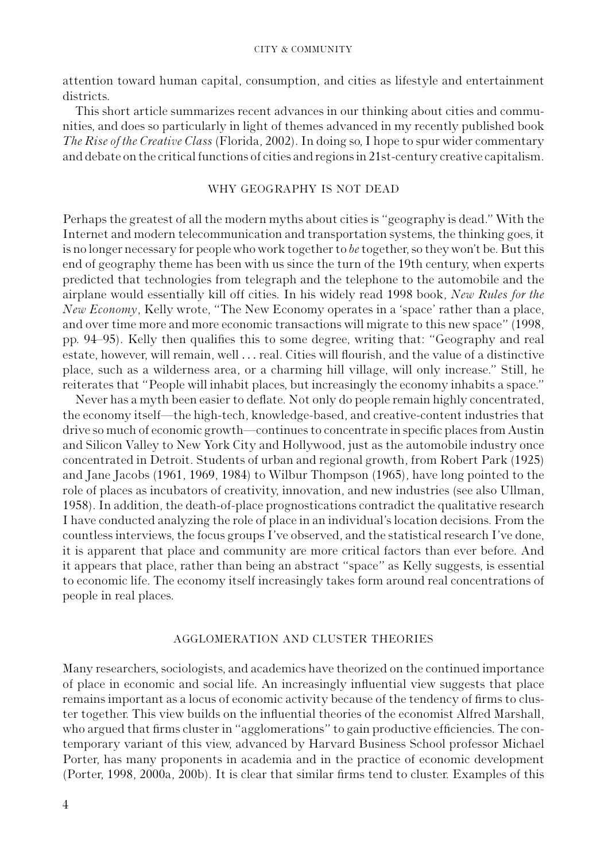attention toward human capital, consumption, and cities as lifestyle and entertainment districts.

This short article summarizes recent advances in our thinking about cities and communities, and does so particularly in light of themes advanced in my recently published book *The Rise of the Creative Class* (Florida, 2002). In doing so, I hope to spur wider commentary and debate on the critical functions of cities and regions in 21st-century creative capitalism.

#### WHY GEOGRAPHY IS NOT DEAD

Perhaps the greatest of all the modern myths about cities is "geography is dead." With the Internet and modern telecommunication and transportation systems, the thinking goes, it is no longer necessary for people who work together to *be*together, so they won't be. But this end of geography theme has been with us since the turn of the 19th century, when experts predicted that technologies from telegraph and the telephone to the automobile and the airplane would essentially kill off cities. In his widely read 1998 book, *New Rules for the New Economy*, Kelly wrote, "The New Economy operates in a 'space' rather than a place, and over time more and more economic transactions will migrate to this new space" (1998, pp. 94–95). Kelly then qualifies this to some degree, writing that: "Geography and real estate, however, will remain, well ... real. Cities will flourish, and the value of a distinctive place, such as a wilderness area, or a charming hill village, will only increase." Still, he reiterates that "People will inhabit places, but increasingly the economy inhabits a space."

Never has a myth been easier to deflate. Not only do people remain highly concentrated, the economy itself—the high-tech, knowledge-based, and creative-content industries that drive so much of economic growth—continues to concentrate in specific places from Austin and Silicon Valley to New York City and Hollywood, just as the automobile industry once concentrated in Detroit. Students of urban and regional growth, from Robert Park (1925) and Jane Jacobs (1961, 1969, 1984) to Wilbur Thompson (1965), have long pointed to the role of places as incubators of creativity, innovation, and new industries (see also Ullman, 1958). In addition, the death-of-place prognostications contradict the qualitative research I have conducted analyzing the role of place in an individual's location decisions. From the countless interviews, the focus groups I've observed, and the statistical research I've done, it is apparent that place and community are more critical factors than ever before. And it appears that place, rather than being an abstract "space" as Kelly suggests, is essential to economic life. The economy itself increasingly takes form around real concentrations of people in real places.

#### AGGLOMERATION AND CLUSTER THEORIES

Many researchers, sociologists, and academics have theorized on the continued importance of place in economic and social life. An increasingly influential view suggests that place remains important as a locus of economic activity because of the tendency of firms to cluster together. This view builds on the influential theories of the economist Alfred Marshall, who argued that firms cluster in "agglomerations" to gain productive efficiencies. The contemporary variant of this view, advanced by Harvard Business School professor Michael Porter, has many proponents in academia and in the practice of economic development (Porter, 1998, 2000a, 200b). It is clear that similar firms tend to cluster. Examples of this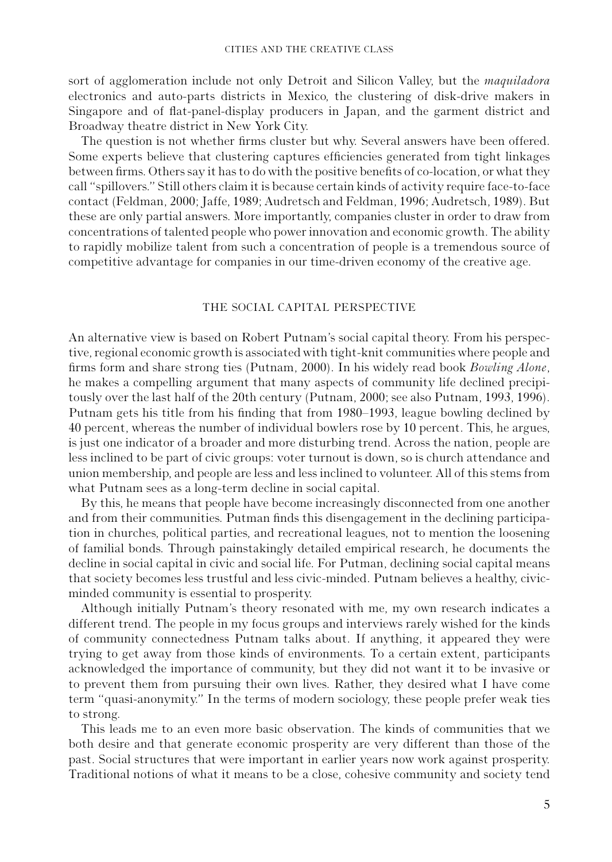sort of agglomeration include not only Detroit and Silicon Valley, but the *maquiladora* electronics and auto-parts districts in Mexico, the clustering of disk-drive makers in Singapore and of flat-panel-display producers in Japan, and the garment district and Broadway theatre district in New York City.

The question is not whether firms cluster but why. Several answers have been offered. Some experts believe that clustering captures efficiencies generated from tight linkages between firms. Others say it has to do with the positive benefits of co-location, or what they call "spillovers." Still others claim it is because certain kinds of activity require face-to-face contact (Feldman, 2000; Jaffe, 1989; Audretsch and Feldman, 1996; Audretsch, 1989). But these are only partial answers. More importantly, companies cluster in order to draw from concentrations of talented people who power innovation and economic growth. The ability to rapidly mobilize talent from such a concentration of people is a tremendous source of competitive advantage for companies in our time-driven economy of the creative age.

## THE SOCIAL CAPITAL PERSPECTIVE

An alternative view is based on Robert Putnam's social capital theory. From his perspective, regional economic growth is associated with tight-knit communities where people and firms form and share strong ties (Putnam, 2000). In his widely read book *Bowling Alone*, he makes a compelling argument that many aspects of community life declined precipitously over the last half of the 20th century (Putnam, 2000; see also Putnam, 1993, 1996). Putnam gets his title from his finding that from 1980–1993, league bowling declined by 40 percent, whereas the number of individual bowlers rose by 10 percent. This, he argues, is just one indicator of a broader and more disturbing trend. Across the nation, people are less inclined to be part of civic groups: voter turnout is down, so is church attendance and union membership, and people are less and less inclined to volunteer. All of this stems from what Putnam sees as a long-term decline in social capital.

By this, he means that people have become increasingly disconnected from one another and from their communities. Putman finds this disengagement in the declining participation in churches, political parties, and recreational leagues, not to mention the loosening of familial bonds. Through painstakingly detailed empirical research, he documents the decline in social capital in civic and social life. For Putman, declining social capital means that society becomes less trustful and less civic-minded. Putnam believes a healthy, civicminded community is essential to prosperity.

Although initially Putnam's theory resonated with me, my own research indicates a different trend. The people in my focus groups and interviews rarely wished for the kinds of community connectedness Putnam talks about. If anything, it appeared they were trying to get away from those kinds of environments. To a certain extent, participants acknowledged the importance of community, but they did not want it to be invasive or to prevent them from pursuing their own lives. Rather, they desired what I have come term "quasi-anonymity." In the terms of modern sociology, these people prefer weak ties to strong.

This leads me to an even more basic observation. The kinds of communities that we both desire and that generate economic prosperity are very different than those of the past. Social structures that were important in earlier years now work against prosperity. Traditional notions of what it means to be a close, cohesive community and society tend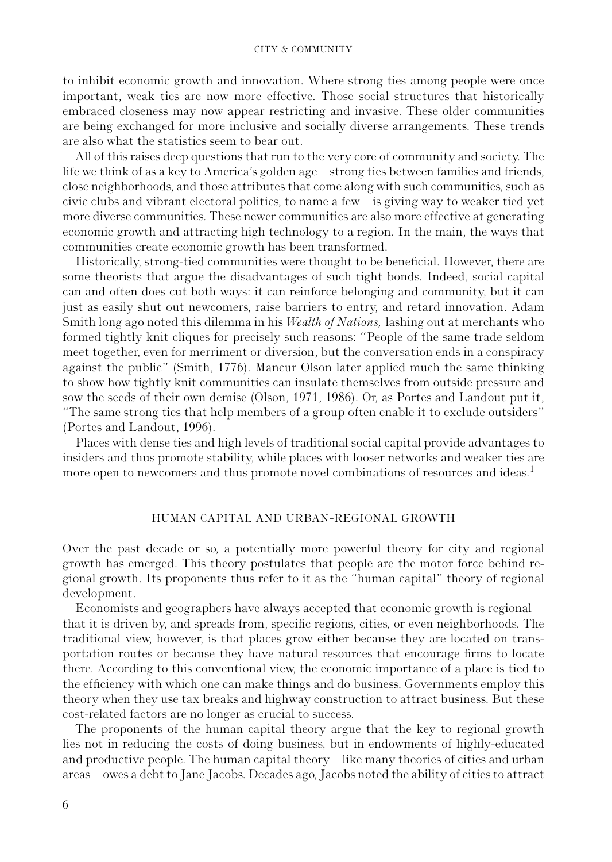to inhibit economic growth and innovation. Where strong ties among people were once important, weak ties are now more effective. Those social structures that historically embraced closeness may now appear restricting and invasive. These older communities are being exchanged for more inclusive and socially diverse arrangements. These trends are also what the statistics seem to bear out.

All of this raises deep questions that run to the very core of community and society. The life we think of as a key to America's golden age—strong ties between families and friends, close neighborhoods, and those attributes that come along with such communities, such as civic clubs and vibrant electoral politics, to name a few—is giving way to weaker tied yet more diverse communities. These newer communities are also more effective at generating economic growth and attracting high technology to a region. In the main, the ways that communities create economic growth has been transformed.

Historically, strong-tied communities were thought to be beneficial. However, there are some theorists that argue the disadvantages of such tight bonds. Indeed, social capital can and often does cut both ways: it can reinforce belonging and community, but it can just as easily shut out newcomers, raise barriers to entry, and retard innovation. Adam Smith long ago noted this dilemma in his *Wealth of Nations,* lashing out at merchants who formed tightly knit cliques for precisely such reasons: "People of the same trade seldom meet together, even for merriment or diversion, but the conversation ends in a conspiracy against the public" (Smith, 1776). Mancur Olson later applied much the same thinking to show how tightly knit communities can insulate themselves from outside pressure and sow the seeds of their own demise (Olson, 1971, 1986). Or, as Portes and Landout put it, "The same strong ties that help members of a group often enable it to exclude outsiders" (Portes and Landout, 1996).

Places with dense ties and high levels of traditional social capital provide advantages to insiders and thus promote stability, while places with looser networks and weaker ties are more open to new comers and thus promote novel combinations of resources and ideas.<sup>1</sup>

# HUMAN CAPITAL AND URBAN-REGIONAL GROWTH

Over the past decade or so, a potentially more powerful theory for city and regional growth has emerged. This theory postulates that people are the motor force behind regional growth. Its proponents thus refer to it as the "human capital" theory of regional development.

Economists and geographers have always accepted that economic growth is regional that it is driven by, and spreads from, specific regions, cities, or even neighborhoods. The traditional view, however, is that places grow either because they are located on transportation routes or because they have natural resources that encourage firms to locate there. According to this conventional view, the economic importance of a place is tied to the efficiency with which one can make things and do business. Governments employ this theory when they use tax breaks and highway construction to attract business. But these cost-related factors are no longer as crucial to success.

The proponents of the human capital theory argue that the key to regional growth lies not in reducing the costs of doing business, but in endowments of highly-educated and productive people. The human capital theory—like many theories of cities and urban areas—owes a debt to Jane Jacobs. Decades ago, Jacobs noted the ability of cities to attract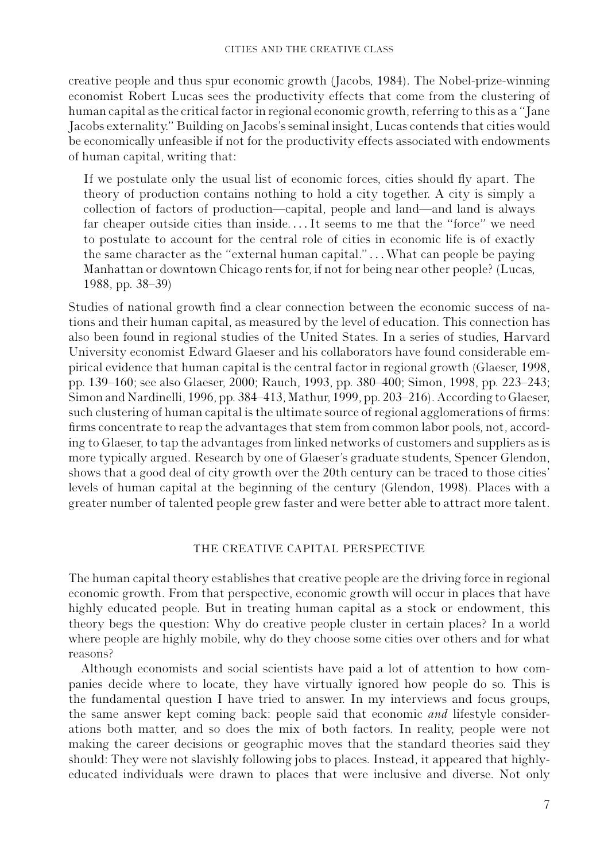creative people and thus spur economic growth (Jacobs, 1984). The Nobel-prize-winning economist Robert Lucas sees the productivity effects that come from the clustering of human capital as the critical factor in regional economic growth, referring to this as a "Jane Jacobs externality." Building on Jacobs's seminal insight, Lucas contends that cities would be economically unfeasible if not for the productivity effects associated with endowments of human capital, writing that:

If we postulate only the usual list of economic forces, cities should fly apart. The theory of production contains nothing to hold a city together. A city is simply a collection of factors of production—capital, people and land—and land is always far cheaper outside cities than inside. ... It seems to me that the "force" we need to postulate to account for the central role of cities in economic life is of exactly the same character as the "external human capital." ...What can people be paying Manhattan or downtown Chicago rents for, if not for being near other people? (Lucas, 1988, pp. 38–39)

Studies of national growth find a clear connection between the economic success of nations and their human capital, as measured by the level of education. This connection has also been found in regional studies of the United States. In a series of studies, Harvard University economist Edward Glaeser and his collaborators have found considerable empirical evidence that human capital is the central factor in regional growth (Glaeser, 1998, pp. 139–160; see also Glaeser, 2000; Rauch, 1993, pp. 380–400; Simon, 1998, pp. 223–243; Simon and Nardinelli, 1996, pp. 384–413, Mathur, 1999, pp. 203–216). According to Glaeser, such clustering of human capital is the ultimate source of regional agglomerations of firms: firms concentrate to reap the advantages that stem from common labor pools, not, according to Glaeser, to tap the advantages from linked networks of customers and suppliers as is more typically argued. Research by one of Glaeser's graduate students, Spencer Glendon, shows that a good deal of city growth over the 20th century can be traced to those cities' levels of human capital at the beginning of the century (Glendon, 1998). Places with a greater number of talented people grew faster and were better able to attract more talent.

## THE CREATIVE CAPITAL PERSPECTIVE

The human capital theory establishes that creative people are the driving force in regional economic growth. From that perspective, economic growth will occur in places that have highly educated people. But in treating human capital as a stock or endowment, this theory begs the question: Why do creative people cluster in certain places? In a world where people are highly mobile, why do they choose some cities over others and for what reasons?

Although economists and social scientists have paid a lot of attention to how companies decide where to locate, they have virtually ignored how people do so. This is the fundamental question I have tried to answer. In my interviews and focus groups, the same answer kept coming back: people said that economic *and* lifestyle considerations both matter, and so does the mix of both factors. In reality, people were not making the career decisions or geographic moves that the standard theories said they should: They were not slavishly following jobs to places. Instead, it appeared that highlyeducated individuals were drawn to places that were inclusive and diverse. Not only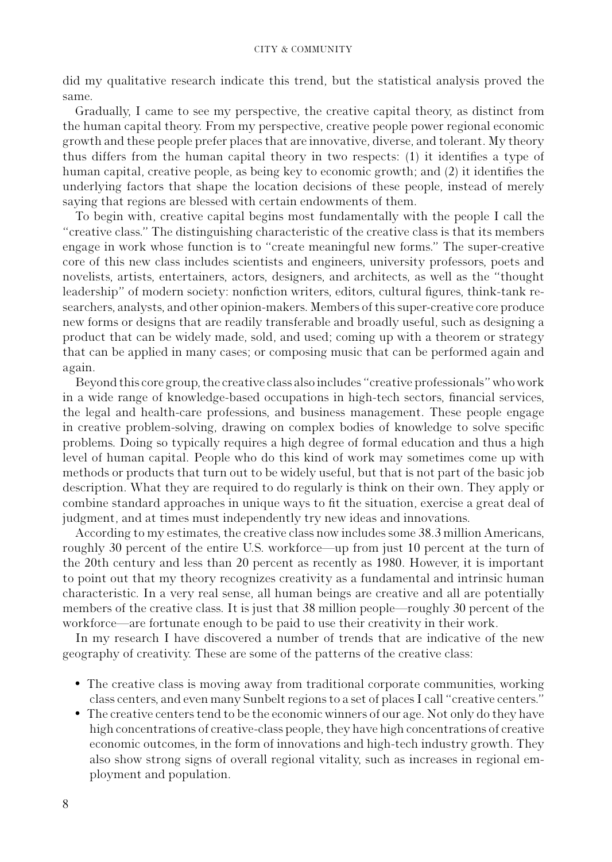did my qualitative research indicate this trend, but the statistical analysis proved the same.

Gradually, I came to see my perspective, the creative capital theory, as distinct from the human capital theory. From my perspective, creative people power regional economic growth and these people prefer places that are innovative, diverse, and tolerant. My theory thus differs from the human capital theory in two respects: (1) it identifies a type of human capital, creative people, as being key to economic growth; and (2) it identifies the underlying factors that shape the location decisions of these people, instead of merely saying that regions are blessed with certain endowments of them.

To begin with, creative capital begins most fundamentally with the people I call the "creative class." The distinguishing characteristic of the creative class is that its members engage in work whose function is to "create meaningful new forms." The super-creative core of this new class includes scientists and engineers, university professors, poets and novelists, artists, entertainers, actors, designers, and architects, as well as the "thought leadership" of modern society: nonfiction writers, editors, cultural figures, think-tank researchers, analysts, and other opinion-makers. Members of this super-creative core produce new forms or designs that are readily transferable and broadly useful, such as designing a product that can be widely made, sold, and used; coming up with a theorem or strategy that can be applied in many cases; or composing music that can be performed again and again.

Beyond this core group, the creative class also includes "creative professionals" who work in a wide range of knowledge-based occupations in high-tech sectors, financial services, the legal and health-care professions, and business management. These people engage in creative problem-solving, drawing on complex bodies of knowledge to solve specific problems. Doing so typically requires a high degree of formal education and thus a high level of human capital. People who do this kind of work may sometimes come up with methods or products that turn out to be widely useful, but that is not part of the basic job description. What they are required to do regularly is think on their own. They apply or combine standard approaches in unique ways to fit the situation, exercise a great deal of judgment, and at times must independently try new ideas and innovations.

According to my estimates, the creative class now includes some 38.3 million Americans, roughly 30 percent of the entire U.S. workforce—up from just 10 percent at the turn of the 20th century and less than 20 percent as recently as 1980. However, it is important to point out that my theory recognizes creativity as a fundamental and intrinsic human characteristic. In a very real sense, all human beings are creative and all are potentially members of the creative class. It is just that 38 million people—roughly 30 percent of the workforce—are fortunate enough to be paid to use their creativity in their work.

In my research I have discovered a number of trends that are indicative of the new geography of creativity. These are some of the patterns of the creative class:

- The creative class is moving away from traditional corporate communities, working class centers, and even many Sunbelt regions to a set of places I call "creative centers."
- The creative centers tend to be the economic winners of our age. Not only do they have high concentrations of creative-class people, they have high concentrations of creative economic outcomes, in the form of innovations and high-tech industry growth. They also show strong signs of overall regional vitality, such as increases in regional employment and population.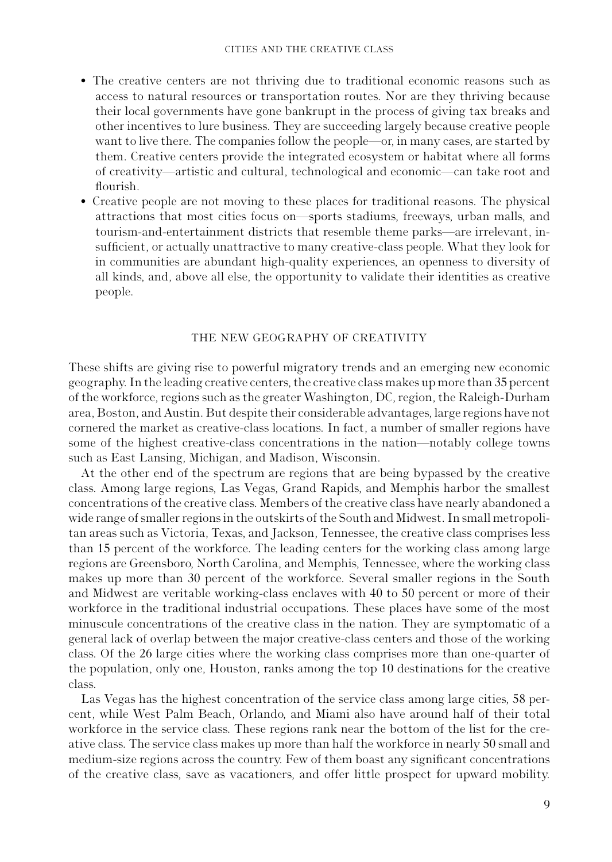- The creative centers are not thriving due to traditional economic reasons such as access to natural resources or transportation routes. Nor are they thriving because their local governments have gone bankrupt in the process of giving tax breaks and other incentives to lure business. They are succeeding largely because creative people want to live there. The companies follow the people—or, in many cases, are started by them. Creative centers provide the integrated ecosystem or habitat where all forms of creativity—artistic and cultural, technological and economic—can take root and flourish.
- Creative people are not moving to these places for traditional reasons. The physical attractions that most cities focus on—sports stadiums, freeways, urban malls, and tourism-and-entertainment districts that resemble theme parks—are irrelevant, insufficient, or actually unattractive to many creative-class people. What they look for in communities are abundant high-quality experiences, an openness to diversity of all kinds, and, above all else, the opportunity to validate their identities as creative people.

## THE NEW GEOGRAPHY OF CREATIVITY

These shifts are giving rise to powerful migratory trends and an emerging new economic geography. In the leading creative centers, the creative class makes up more than 35 percent of the workforce, regions such as the greater Washington, DC, region, the Raleigh-Durham area, Boston, and Austin. But despite their considerable advantages, large regions have not cornered the market as creative-class locations. In fact, a number of smaller regions have some of the highest creative-class concentrations in the nation—notably college towns such as East Lansing, Michigan, and Madison, Wisconsin.

At the other end of the spectrum are regions that are being bypassed by the creative class. Among large regions, Las Vegas, Grand Rapids, and Memphis harbor the smallest concentrations of the creative class. Members of the creative class have nearly abandoned a wide range of smaller regions in the outskirts of the South and Midwest. In small metropolitan areas such as Victoria, Texas, and Jackson, Tennessee, the creative class comprises less than 15 percent of the workforce. The leading centers for the working class among large regions are Greensboro, North Carolina, and Memphis, Tennessee, where the working class makes up more than 30 percent of the workforce. Several smaller regions in the South and Midwest are veritable working-class enclaves with 40 to 50 percent or more of their workforce in the traditional industrial occupations. These places have some of the most minuscule concentrations of the creative class in the nation. They are symptomatic of a general lack of overlap between the major creative-class centers and those of the working class. Of the 26 large cities where the working class comprises more than one-quarter of the population, only one, Houston, ranks among the top 10 destinations for the creative class.

Las Vegas has the highest concentration of the service class among large cities, 58 percent, while West Palm Beach, Orlando, and Miami also have around half of their total workforce in the service class. These regions rank near the bottom of the list for the creative class. The service class makes up more than half the workforce in nearly 50 small and medium-size regions across the country. Few of them boast any significant concentrations of the creative class, save as vacationers, and offer little prospect for upward mobility.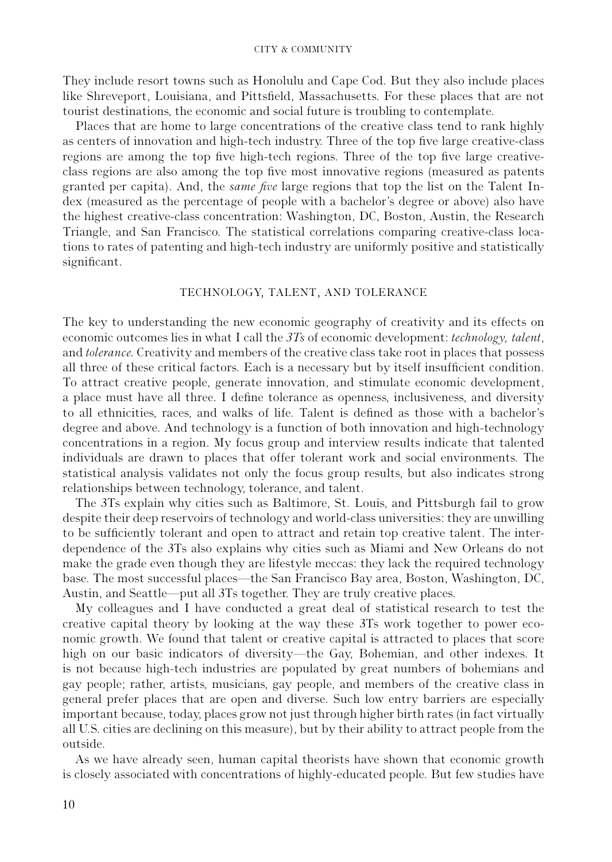#### CITY & COMMUNITY

They include resort towns such as Honolulu and Cape Cod. But they also include places like Shreveport, Louisiana, and Pittsfield, Massachusetts. For these places that are not tourist destinations, the economic and social future is troubling to contemplate.

Places that are home to large concentrations of the creative class tend to rank highly as centers of innovation and high-tech industry. Three of the top five large creative-class regions are among the top five high-tech regions. Three of the top five large creativeclass regions are also among the top five most innovative regions (measured as patents granted per capita). And, the *same five* large regions that top the list on the Talent Index (measured as the percentage of people with a bachelor's degree or above) also have the highest creative-class concentration: Washington, DC, Boston, Austin, the Research Triangle, and San Francisco. The statistical correlations comparing creative-class locations to rates of patenting and high-tech industry are uniformly positive and statistically significant.

#### TECHNOLOGY, TALENT, AND TOLERANCE

The key to understanding the new economic geography of creativity and its effects on economic outcomes lies in what I call the *3Ts* of economic development: *technology, talent*, and *tolerance.* Creativity and members of the creative class take root in places that possess all three of these critical factors. Each is a necessary but by itself insufficient condition. To attract creative people, generate innovation, and stimulate economic development, a place must have all three. I define tolerance as openness, inclusiveness, and diversity to all ethnicities, races, and walks of life. Talent is defined as those with a bachelor's degree and above. And technology is a function of both innovation and high-technology concentrations in a region. My focus group and interview results indicate that talented individuals are drawn to places that offer tolerant work and social environments. The statistical analysis validates not only the focus group results, but also indicates strong relationships between technology, tolerance, and talent.

The 3Ts explain why cities such as Baltimore, St. Louis, and Pittsburgh fail to grow despite their deep reservoirs of technology and world-class universities: they are unwilling to be sufficiently tolerant and open to attract and retain top creative talent. The interdependence of the 3Ts also explains why cities such as Miami and New Orleans do not make the grade even though they are lifestyle meccas: they lack the required technology base. The most successful places—the San Francisco Bay area, Boston, Washington, DC, Austin, and Seattle—put all 3Ts together. They are truly creative places.

My colleagues and I have conducted a great deal of statistical research to test the creative capital theory by looking at the way these 3Ts work together to power economic growth. We found that talent or creative capital is attracted to places that score high on our basic indicators of diversity—the Gay, Bohemian, and other indexes. It is not because high-tech industries are populated by great numbers of bohemians and gay people; rather, artists, musicians, gay people, and members of the creative class in general prefer places that are open and diverse. Such low entry barriers are especially important because, today, places grow not just through higher birth rates (in fact virtually all U.S. cities are declining on this measure), but by their ability to attract people from the outside.

As we have already seen, human capital theorists have shown that economic growth is closely associated with concentrations of highly-educated people. But few studies have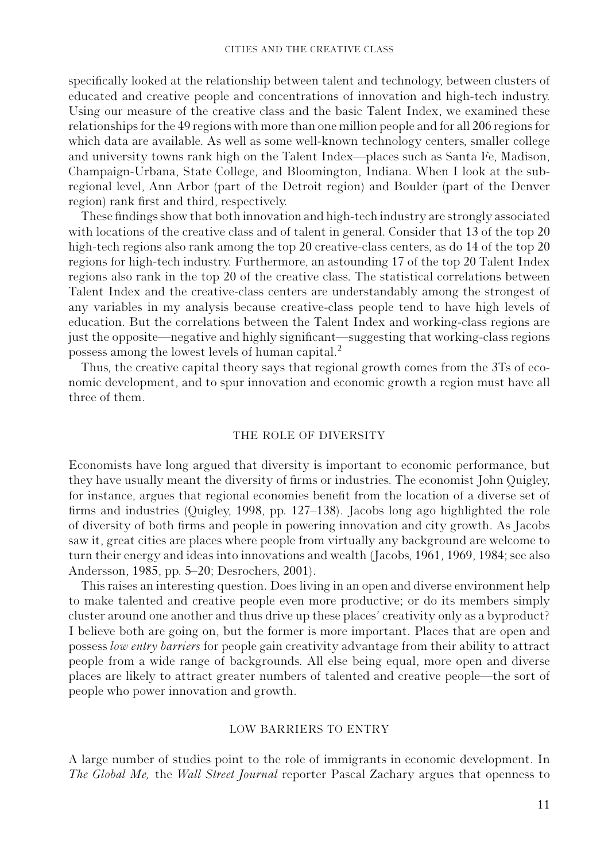specifically looked at the relationship between talent and technology, between clusters of educated and creative people and concentrations of innovation and high-tech industry. Using our measure of the creative class and the basic Talent Index, we examined these relationships for the 49 regions with more than one million people and for all 206 regions for which data are available. As well as some well-known technology centers, smaller college and university towns rank high on the Talent Index—places such as Santa Fe, Madison, Champaign-Urbana, State College, and Bloomington, Indiana. When I look at the subregional level, Ann Arbor (part of the Detroit region) and Boulder (part of the Denver region) rank first and third, respectively.

These findings show that both innovation and high-tech industry are strongly associated with locations of the creative class and of talent in general. Consider that 13 of the top 20 high-tech regions also rank among the top 20 creative-class centers, as do 14 of the top 20 regions for high-tech industry. Furthermore, an astounding 17 of the top 20 Talent Index regions also rank in the top 20 of the creative class. The statistical correlations between Talent Index and the creative-class centers are understandably among the strongest of any variables in my analysis because creative-class people tend to have high levels of education. But the correlations between the Talent Index and working-class regions are just the opposite—negative and highly significant—suggesting that working-class regions possess among the lowest levels of human capital.<sup>2</sup>

Thus, the creative capital theory says that regional growth comes from the 3Ts of economic development, and to spur innovation and economic growth a region must have all three of them*.*

#### THE ROLE OF DIVERSITY

Economists have long argued that diversity is important to economic performance, but they have usually meant the diversity of firms or industries. The economist John Quigley, for instance, argues that regional economies benefit from the location of a diverse set of firms and industries (Quigley, 1998, pp. 127–138). Jacobs long ago highlighted the role of diversity of both firms and people in powering innovation and city growth. As Jacobs saw it, great cities are places where people from virtually any background are welcome to turn their energy and ideas into innovations and wealth (Jacobs, 1961, 1969, 1984; see also Andersson, 1985, pp. 5–20; Desrochers, 2001).

This raises an interesting question. Does living in an open and diverse environment help to make talented and creative people even more productive; or do its members simply cluster around one another and thus drive up these places' creativity only as a byproduct? I believe both are going on, but the former is more important. Places that are open and possess *low entry barriers* for people gain creativity advantage from their ability to attract people from a wide range of backgrounds. All else being equal, more open and diverse places are likely to attract greater numbers of talented and creative people—the sort of people who power innovation and growth.

# LOW BARRIERS TO ENTRY

A large number of studies point to the role of immigrants in economic development. In *The Global Me,* the *Wall Street Journal* reporter Pascal Zachary argues that openness to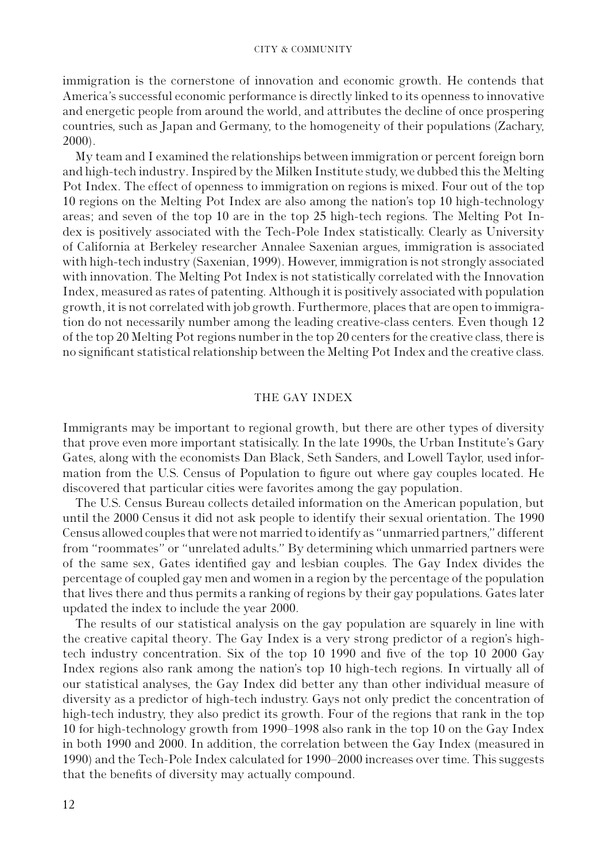immigration is the cornerstone of innovation and economic growth. He contends that America's successful economic performance is directly linked to its openness to innovative and energetic people from around the world, and attributes the decline of once prospering countries, such as Japan and Germany, to the homogeneity of their populations (Zachary, 2000).

My team and I examined the relationships between immigration or percent foreign born and high-tech industry*.* Inspired by the Milken Institute study, we dubbed this the Melting Pot Index. The effect of openness to immigration on regions is mixed. Four out of the top 10 regions on the Melting Pot Index are also among the nation's top 10 high-technology areas; and seven of the top 10 are in the top 25 high-tech regions. The Melting Pot Index is positively associated with the Tech-Pole Index statistically. Clearly as University of California at Berkeley researcher Annalee Saxenian argues, immigration is associated with high-tech industry (Saxenian, 1999). However, immigration is not strongly associated with innovation. The Melting Pot Index is not statistically correlated with the Innovation Index, measured as rates of patenting. Although it is positively associated with population growth, it is not correlated with job growth. Furthermore, places that are open to immigration do not necessarily number among the leading creative-class centers. Even though 12 of the top 20 Melting Pot regions number in the top 20 centers for the creative class, there is no significant statistical relationship between the Melting Pot Index and the creative class.

# THE GAY INDEX

Immigrants may be important to regional growth, but there are other types of diversity that prove even more important statisically. In the late 1990s, the Urban Institute's Gary Gates, along with the economists Dan Black, Seth Sanders, and Lowell Taylor, used information from the U.S. Census of Population to figure out where gay couples located. He discovered that particular cities were favorites among the gay population.

The U.S. Census Bureau collects detailed information on the American population, but until the 2000 Census it did not ask people to identify their sexual orientation. The 1990 Census allowed couples that were not married to identify as "unmarried partners," different from "roommates" or "unrelated adults." By determining which unmarried partners were of the same sex, Gates identified gay and lesbian couples. The Gay Index divides the percentage of coupled gay men and women in a region by the percentage of the population that lives there and thus permits a ranking of regions by their gay populations. Gates later updated the index to include the year 2000.

The results of our statistical analysis on the gay population are squarely in line with the creative capital theory*.* The Gay Index is a very strong predictor of a region's hightech industry concentration. Six of the top 10 1990 and five of the top 10 2000 Gay Index regions also rank among the nation's top 10 high-tech regions. In virtually all of our statistical analyses, the Gay Index did better any than other individual measure of diversity as a predictor of high-tech industry. Gays not only predict the concentration of high-tech industry, they also predict its growth. Four of the regions that rank in the top 10 for high-technology growth from 1990–1998 also rank in the top 10 on the Gay Index in both 1990 and 2000. In addition, the correlation between the Gay Index (measured in 1990) and the Tech-Pole Index calculated for 1990–2000 increases over time. This suggests that the benefits of diversity may actually compound.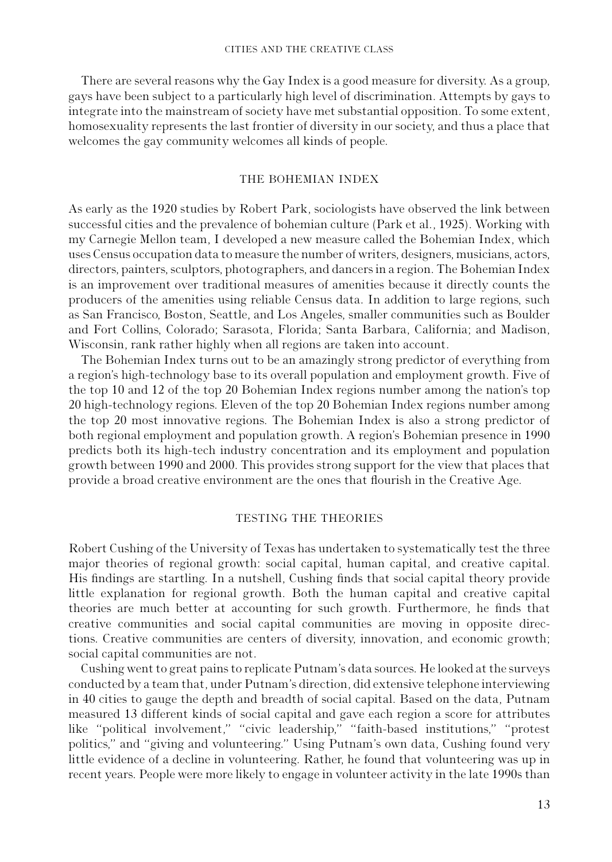There are several reasons why the Gay Index is a good measure for diversity. As a group, gays have been subject to a particularly high level of discrimination. Attempts by gays to integrate into the mainstream of society have met substantial opposition. To some extent, homosexuality represents the last frontier of diversity in our society, and thus a place that welcomes the gay community welcomes all kinds of people.

# THE BOHEMIAN INDEX

As early as the 1920 studies by Robert Park, sociologists have observed the link between successful cities and the prevalence of bohemian culture (Park et al., 1925). Working with my Carnegie Mellon team, I developed a new measure called the Bohemian Index, which uses Census occupation data to measure the number of writers, designers, musicians, actors, directors, painters, sculptors, photographers, and dancers in a region. The Bohemian Index is an improvement over traditional measures of amenities because it directly counts the producers of the amenities using reliable Census data. In addition to large regions, such as San Francisco, Boston, Seattle, and Los Angeles, smaller communities such as Boulder and Fort Collins, Colorado; Sarasota, Florida; Santa Barbara, California; and Madison, Wisconsin, rank rather highly when all regions are taken into account.

The Bohemian Index turns out to be an amazingly strong predictor of everything from a region's high-technology base to its overall population and employment growth. Five of the top 10 and 12 of the top 20 Bohemian Index regions number among the nation's top 20 high-technology regions. Eleven of the top 20 Bohemian Index regions number among the top 20 most innovative regions. The Bohemian Index is also a strong predictor of both regional employment and population growth. A region's Bohemian presence in 1990 predicts both its high-tech industry concentration and its employment and population growth between 1990 and 2000. This provides strong support for the view that places that provide a broad creative environment are the ones that flourish in the Creative Age.

## TESTING THE THEORIES

Robert Cushing of the University of Texas has undertaken to systematically test the three major theories of regional growth: social capital, human capital, and creative capital. His findings are startling. In a nutshell, Cushing finds that social capital theory provide little explanation for regional growth. Both the human capital and creative capital theories are much better at accounting for such growth. Furthermore, he finds that creative communities and social capital communities are moving in opposite directions. Creative communities are centers of diversity, innovation, and economic growth; social capital communities are not.

Cushing went to great pains to replicate Putnam's data sources. He looked at the surveys conducted by a team that, under Putnam's direction, did extensive telephone interviewing in 40 cities to gauge the depth and breadth of social capital. Based on the data, Putnam measured 13 different kinds of social capital and gave each region a score for attributes like "political involvement," "civic leadership," "faith-based institutions," "protest politics," and "giving and volunteering." Using Putnam's own data, Cushing found very little evidence of a decline in volunteering. Rather, he found that volunteering was up in recent years. People were more likely to engage in volunteer activity in the late 1990s than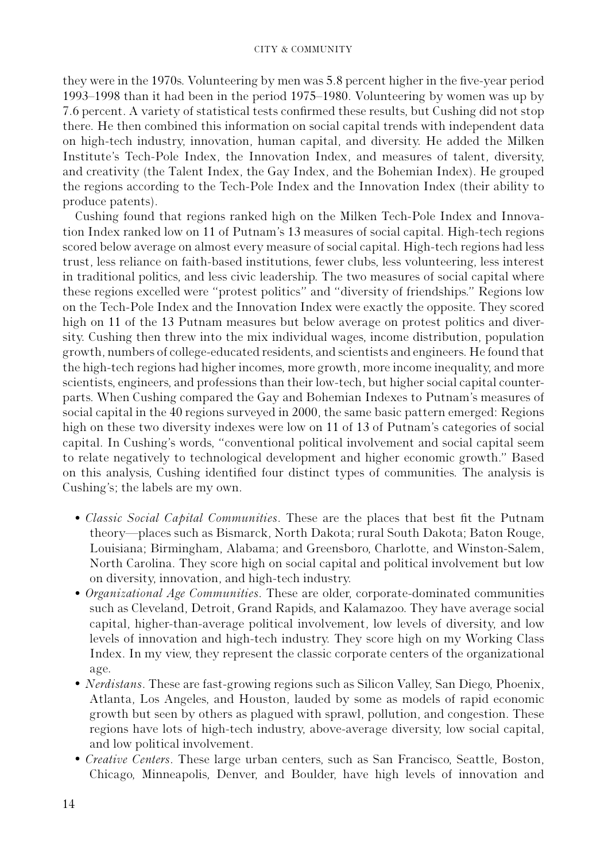they were in the 1970s. Volunteering by men was 5.8 percent higher in the five-year period 1993–1998 than it had been in the period 1975–1980. Volunteering by women was up by 7.6 percent. A variety of statistical tests confirmed these results, but Cushing did not stop there. He then combined this information on social capital trends with independent data on high-tech industry, innovation, human capital, and diversity. He added the Milken Institute's Tech-Pole Index, the Innovation Index, and measures of talent, diversity, and creativity (the Talent Index, the Gay Index, and the Bohemian Index). He grouped the regions according to the Tech-Pole Index and the Innovation Index (their ability to produce patents).

Cushing found that regions ranked high on the Milken Tech-Pole Index and Innovation Index ranked low on 11 of Putnam's 13 measures of social capital. High-tech regions scored below average on almost every measure of social capital. High-tech regions had less trust, less reliance on faith-based institutions, fewer clubs, less volunteering, less interest in traditional politics, and less civic leadership. The two measures of social capital where these regions excelled were "protest politics" and "diversity of friendships." Regions low on the Tech-Pole Index and the Innovation Index were exactly the opposite. They scored high on 11 of the 13 Putnam measures but below average on protest politics and diversity. Cushing then threw into the mix individual wages, income distribution, population growth, numbers of college-educated residents, and scientists and engineers. He found that the high-tech regions had higher incomes, more growth, more income inequality, and more scientists, engineers, and professions than their low-tech, but higher social capital counterparts. When Cushing compared the Gay and Bohemian Indexes to Putnam's measures of social capital in the 40 regions surveyed in 2000, the same basic pattern emerged: Regions high on these two diversity indexes were low on 11 of 13 of Putnam's categories of social capital. In Cushing's words, "conventional political involvement and social capital seem to relate negatively to technological development and higher economic growth." Based on this analysis, Cushing identified four distinct types of communities. The analysis is Cushing's; the labels are my own.

- *Classic Social Capital Communities*. These are the places that best fit the Putnam theory—places such as Bismarck, North Dakota; rural South Dakota; Baton Rouge, Louisiana; Birmingham, Alabama; and Greensboro, Charlotte, and Winston-Salem, North Carolina. They score high on social capital and political involvement but low on diversity, innovation, and high-tech industry.
- *Organizational Age Communities*. These are older, corporate-dominated communities such as Cleveland, Detroit, Grand Rapids, and Kalamazoo. They have average social capital, higher-than-average political involvement, low levels of diversity, and low levels of innovation and high-tech industry. They score high on my Working Class Index. In my view, they represent the classic corporate centers of the organizational age.
- *Nerdistans*. These are fast-growing regions such as Silicon Valley, San Diego, Phoenix, Atlanta, Los Angeles, and Houston, lauded by some as models of rapid economic growth but seen by others as plagued with sprawl, pollution, and congestion. These regions have lots of high-tech industry, above-average diversity, low social capital, and low political involvement.
- *Creative Centers*. These large urban centers, such as San Francisco, Seattle, Boston, Chicago, Minneapolis, Denver, and Boulder, have high levels of innovation and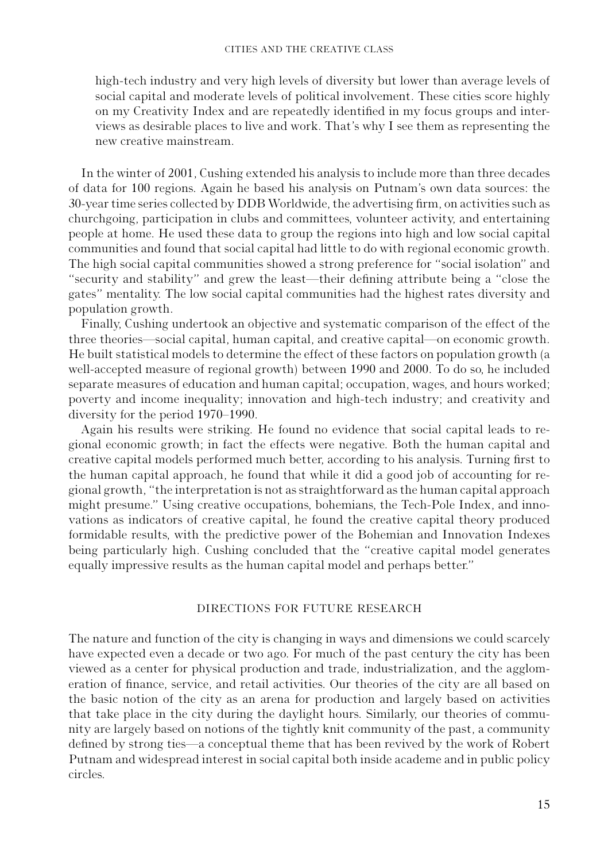high-tech industry and very high levels of diversity but lower than average levels of social capital and moderate levels of political involvement. These cities score highly on my Creativity Index and are repeatedly identified in my focus groups and interviews as desirable places to live and work. That's why I see them as representing the new creative mainstream.

In the winter of 2001, Cushing extended his analysis to include more than three decades of data for 100 regions. Again he based his analysis on Putnam's own data sources: the 30-year time series collected by DDB Worldwide, the advertising firm, on activities such as churchgoing, participation in clubs and committees, volunteer activity, and entertaining people at home. He used these data to group the regions into high and low social capital communities and found that social capital had little to do with regional economic growth. The high social capital communities showed a strong preference for "social isolation" and "security and stability" and grew the least—their defining attribute being a "close the gates" mentality. The low social capital communities had the highest rates diversity and population growth.

Finally, Cushing undertook an objective and systematic comparison of the effect of the three theories—social capital, human capital, and creative capital—on economic growth. He built statistical models to determine the effect of these factors on population growth (a well-accepted measure of regional growth) between 1990 and 2000. To do so, he included separate measures of education and human capital; occupation, wages, and hours worked; poverty and income inequality; innovation and high-tech industry; and creativity and diversity for the period 1970–1990.

Again his results were striking. He found no evidence that social capital leads to regional economic growth; in fact the effects were negative. Both the human capital and creative capital models performed much better, according to his analysis. Turning first to the human capital approach, he found that while it did a good job of accounting for regional growth, "the interpretation is not as straightforward as the human capital approach might presume." Using creative occupations, bohemians, the Tech-Pole Index, and innovations as indicators of creative capital, he found the creative capital theory produced formidable results, with the predictive power of the Bohemian and Innovation Indexes being particularly high. Cushing concluded that the "creative capital model generates equally impressive results as the human capital model and perhaps better."

#### DIRECTIONS FOR FUTURE RESEARCH

The nature and function of the city is changing in ways and dimensions we could scarcely have expected even a decade or two ago. For much of the past century the city has been viewed as a center for physical production and trade, industrialization, and the agglomeration of finance, service, and retail activities. Our theories of the city are all based on the basic notion of the city as an arena for production and largely based on activities that take place in the city during the daylight hours. Similarly, our theories of community are largely based on notions of the tightly knit community of the past, a community defined by strong ties—a conceptual theme that has been revived by the work of Robert Putnam and widespread interest in social capital both inside academe and in public policy circles.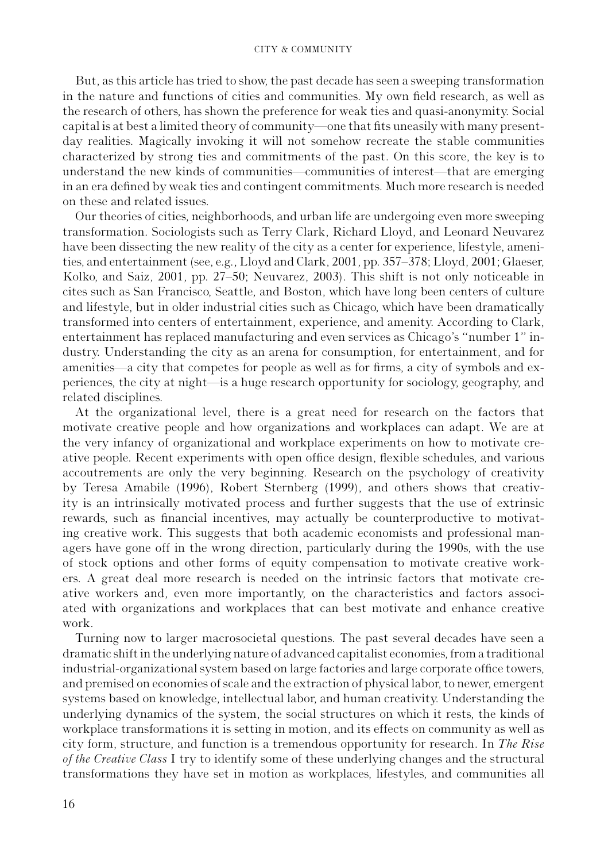#### CITY & COMMUNITY

But, as this article has tried to show, the past decade has seen a sweeping transformation in the nature and functions of cities and communities. My own field research, as well as the research of others, has shown the preference for weak ties and quasi-anonymity. Social capital is at best a limited theory of community—one that fits uneasily with many presentday realities. Magically invoking it will not somehow recreate the stable communities characterized by strong ties and commitments of the past. On this score, the key is to understand the new kinds of communities—communities of interest—that are emerging in an era defined by weak ties and contingent commitments. Much more research is needed on these and related issues.

Our theories of cities, neighborhoods, and urban life are undergoing even more sweeping transformation. Sociologists such as Terry Clark, Richard Lloyd, and Leonard Neuvarez have been dissecting the new reality of the city as a center for experience, lifestyle, amenities, and entertainment (see, e.g., Lloyd and Clark, 2001, pp. 357–378; Lloyd, 2001; Glaeser, Kolko, and Saiz, 2001, pp. 27–50; Neuvarez, 2003). This shift is not only noticeable in cites such as San Francisco, Seattle, and Boston, which have long been centers of culture and lifestyle, but in older industrial cities such as Chicago, which have been dramatically transformed into centers of entertainment, experience, and amenity. According to Clark, entertainment has replaced manufacturing and even services as Chicago's "number 1" industry. Understanding the city as an arena for consumption, for entertainment, and for amenities—a city that competes for people as well as for firms, a city of symbols and experiences, the city at night—is a huge research opportunity for sociology, geography, and related disciplines.

At the organizational level, there is a great need for research on the factors that motivate creative people and how organizations and workplaces can adapt. We are at the very infancy of organizational and workplace experiments on how to motivate creative people. Recent experiments with open office design, flexible schedules, and various accoutrements are only the very beginning. Research on the psychology of creativity by Teresa Amabile (1996), Robert Sternberg (1999), and others shows that creativity is an intrinsically motivated process and further suggests that the use of extrinsic rewards, such as financial incentives, may actually be counterproductive to motivating creative work. This suggests that both academic economists and professional managers have gone off in the wrong direction, particularly during the 1990s, with the use of stock options and other forms of equity compensation to motivate creative workers. A great deal more research is needed on the intrinsic factors that motivate creative workers and, even more importantly, on the characteristics and factors associated with organizations and workplaces that can best motivate and enhance creative work.

Turning now to larger macrosocietal questions. The past several decades have seen a dramatic shift in the underlying nature of advanced capitalist economies, from a traditional industrial-organizational system based on large factories and large corporate office towers, and premised on economies of scale and the extraction of physical labor, to newer, emergent systems based on knowledge, intellectual labor, and human creativity. Understanding the underlying dynamics of the system, the social structures on which it rests, the kinds of workplace transformations it is setting in motion, and its effects on community as well as city form, structure, and function is a tremendous opportunity for research. In *The Rise of the Creative Class* I try to identify some of these underlying changes and the structural transformations they have set in motion as workplaces, lifestyles, and communities all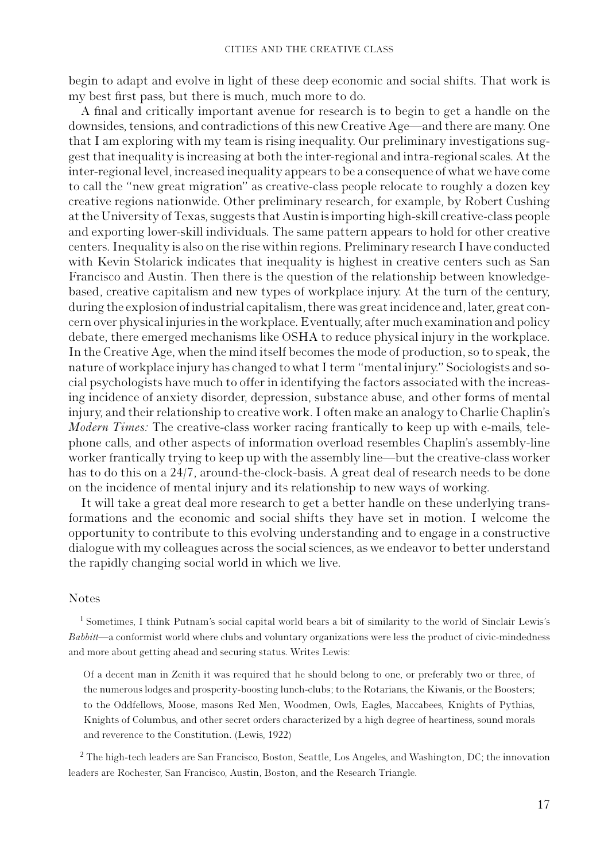begin to adapt and evolve in light of these deep economic and social shifts. That work is my best first pass, but there is much, much more to do.

A final and critically important avenue for research is to begin to get a handle on the downsides, tensions, and contradictions of this new Creative Age—and there are many. One that I am exploring with my team is rising inequality. Our preliminary investigations suggest that inequality is increasing at both the inter-regional and intra-regional scales. At the inter-regional level, increased inequality appears to be a consequence of what we have come to call the "new great migration" as creative-class people relocate to roughly a dozen key creative regions nationwide. Other preliminary research, for example, by Robert Cushing at the University of Texas, suggests that Austin is importing high-skill creative-class people and exporting lower-skill individuals. The same pattern appears to hold for other creative centers. Inequality is also on the rise within regions. Preliminary research I have conducted with Kevin Stolarick indicates that inequality is highest in creative centers such as San Francisco and Austin. Then there is the question of the relationship between knowledgebased, creative capitalism and new types of workplace injury. At the turn of the century, during the explosion of industrial capitalism, there was great incidence and, later, great concern over physical injuries in the workplace. Eventually, after much examination and policy debate, there emerged mechanisms like OSHA to reduce physical injury in the workplace. In the Creative Age, when the mind itself becomes the mode of production, so to speak, the nature of workplace injury has changed to what I term "mental injury." Sociologists and social psychologists have much to offer in identifying the factors associated with the increasing incidence of anxiety disorder, depression, substance abuse, and other forms of mental injury, and their relationship to creative work. I often make an analogy to Charlie Chaplin's *Modern Times:* The creative-class worker racing frantically to keep up with e-mails, telephone calls, and other aspects of information overload resembles Chaplin's assembly-line worker frantically trying to keep up with the assembly line—but the creative-class worker has to do this on a 24/7, around-the-clock-basis. A great deal of research needs to be done on the incidence of mental injury and its relationship to new ways of working.

It will take a great deal more research to get a better handle on these underlying transformations and the economic and social shifts they have set in motion. I welcome the opportunity to contribute to this evolving understanding and to engage in a constructive dialogue with my colleagues across the social sciences, as we endeavor to better understand the rapidly changing social world in which we live.

## Notes

<sup>1</sup> Sometimes, I think Putnam's social capital world bears a bit of similarity to the world of Sinclair Lewis's *Babbitt—*a conformist world where clubs and voluntary organizations were less the product of civic-mindedness and more about getting ahead and securing status. Writes Lewis:

Of a decent man in Zenith it was required that he should belong to one, or preferably two or three, of the numerous lodges and prosperity-boosting lunch-clubs; to the Rotarians, the Kiwanis, or the Boosters; to the Oddfellows, Moose, masons Red Men, Woodmen, Owls, Eagles, Maccabees, Knights of Pythias, Knights of Columbus, and other secret orders characterized by a high degree of heartiness, sound morals and reverence to the Constitution. (Lewis, 1922)

<sup>2</sup> The high-tech leaders are San Francisco, Boston, Seattle, Los Angeles, and Washington, DC; the innovation leaders are Rochester, San Francisco, Austin, Boston, and the Research Triangle.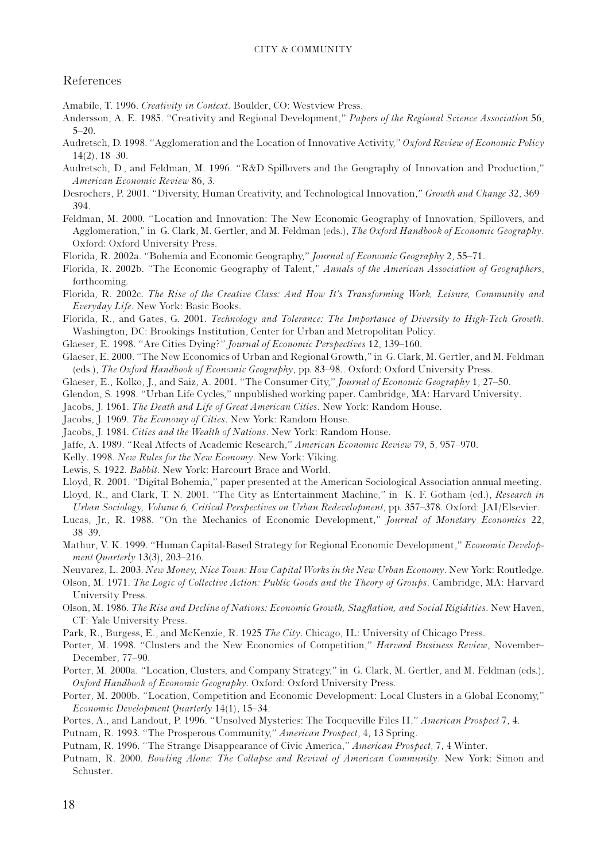## References

- Amabile, T. 1996. *Creativity in Context*. Boulder, CO: Westview Press.
- Andersson, A. E. 1985. "Creativity and Regional Development," *Papers of the Regional Science Association* 56, 5–20.
- Audretsch, D. 1998. "Agglomeration and the Location of Innovative Activity," *Oxford Review of Economic Policy* 14(2), 18–30.
- Audretsch, D., and Feldman, M. 1996. "R&D Spillovers and the Geography of Innovation and Production," *American Economic Review* 86, 3.
- Desrochers, P. 2001. "Diversity, Human Creativity, and Technological Innovation," *Growth and Change* 32, 369– 394.
- Feldman, M. 2000. "Location and Innovation: The New Economic Geography of Innovation, Spillovers, and Agglomeration," in G. Clark, M. Gertler, and M. Feldman (eds.), *The Oxford Handbook of Economic Geography*. Oxford: Oxford University Press.
- Florida, R. 2002a. "Bohemia and Economic Geography," *Journal of Economic Geography* 2, 55–71.
- Florida, R. 2002b. "The Economic Geography of Talent," *Annals of the American Association of Geographers*, forthcoming.
- Florida, R. 2002c. *The Rise of the Creative Class: And How It's Transforming Work, Leisure, Community and Everyday Life*. New York: Basic Books.
- Florida, R., and Gates, G. 2001. *Technology and Tolerance: The Importance of Diversity to High-Tech Growth*. Washington, DC: Brookings Institution, Center for Urban and Metropolitan Policy.
- Glaeser, E. 1998. "Are Cities Dying?" *Journal of Economic Perspectives* 12, 139–160.
- Glaeser, E. 2000. "The New Economics of Urban and Regional Growth," in G. Clark, M. Gertler, and M. Feldman (eds.), *The Oxford Handbook of Economic Geography*, pp. 83–98.. Oxford: Oxford University Press.
- Glaeser, E., Kolko, J., and Saiz, A. 2001. "The Consumer City," *Journal of Economic Geography* 1, 27–50.
- Glendon, S. 1998. "Urban Life Cycles," unpublished working paper. Cambridge, MA: Harvard University.
- Jacobs, J. 1961. *The Death and Life of Great American Cities*. New York: Random House.
- Jacobs, J. 1969. *The Economy of Cities*. New York: Random House.
- Jacobs, J. 1984. *Cities and the Wealth of Nations*. New York: Random House.
- Jaffe, A. 1989. "Real Affects of Academic Research," *American Economic Review* 79, 5, 957–970.
- Kelly. 1998. *New Rules for the New Economy*. New York: Viking.
- Lewis, S. 1922. *Babbit*. New York: Harcourt Brace and World.
- Lloyd, R. 2001. "Digital Bohemia," paper presented at the American Sociological Association annual meeting.
- Lloyd, R., and Clark, T. N. 2001. "The City as Entertainment Machine," in K. F. Gotham (ed.), *Research in Urban Sociology, Volume 6, Critical Perspectives on Urban Redevelopment*, pp. 357–378. Oxford: JAI/Elsevier.
- Lucas, Jr., R. 1988. "On the Mechanics of Economic Development," *Journal of Monetary Economics* 22, 38–39.
- Mathur, V. K. 1999. "Human Capital-Based Strategy for Regional Economic Development," *Economic Development Quarterly* 13(3), 203–216.
- Neuvarez, L. 2003. *New Money, Nice Town: How Capital Works in the New Urban Economy*. New York: Routledge.
- Olson, M. 1971. *The Logic of Collective Action: Public Goods and the Theory of Groups*. Cambridge, MA: Harvard University Press.
- Olson, M. 1986. *The Rise and Decline of Nations: Economic Growth, Stagflation, and Social Rigidities*. New Haven, CT: Yale University Press.
- Park, R., Burgess, E., and McKenzie, R. 1925 *The City*. Chicago, IL: University of Chicago Press.
- Porter, M. 1998. "Clusters and the New Economics of Competition," *Harvard Business Review*, November– December, 77–90.
- Porter, M. 2000a. "Location, Clusters, and Company Strategy," in G. Clark, M. Gertler, and M. Feldman (eds.), *Oxford Handbook of Economic Geography*. Oxford: Oxford University Press.
- Porter, M. 2000b. "Location, Competition and Economic Development: Local Clusters in a Global Economy," *Economic Development Quarterly* 14(1), 15–34.
- Portes, A., and Landout, P. 1996. "Unsolved Mysteries: The Tocqueville Files II," *American Prospect* 7, 4.
- Putnam, R. 1993. "The Prosperous Community," *American Prospect*, 4, 13 Spring.
- Putnam, R. 1996. "The Strange Disappearance of Civic America," *American Prospect*, 7, 4 Winter.
- Putnam, R. 2000. *Bowling Alone: The Collapse and Revival of American Community*. New York: Simon and Schuster.